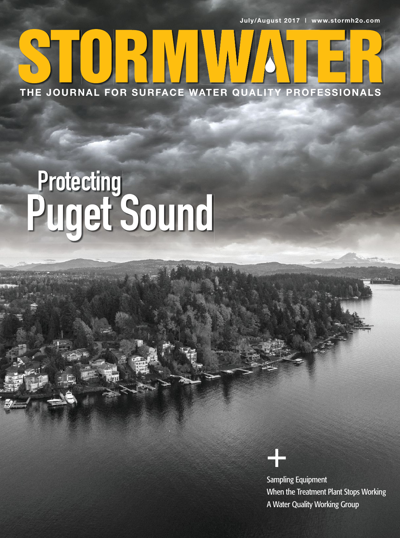**July/August 2017 | www.stormh2o.com**

## $\blacksquare$ **THE JOURNAL FOR SURFACE WATER QUALITY PROFESSIONALS**

# Puget Sound **Protecting**

## +

Sampling Equipment When the Treatment Plant Stops Working A Water Quality Working Group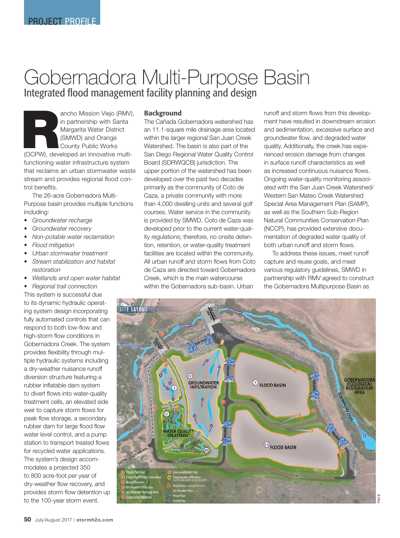### Gobernadora Multi-Purpose Basin Integrated flood management facility planning and design

ancho Mission Viejo (RMV),<br>
in partnership with Santa<br>
Margarita Water District<br>
(SMWD) and Orange<br>
County Public Works<br>
(OCPW), developed an innovative multiin partnership with Santa Margarita Water District (SMWD) and Orange County Public Works functioning water infrastructure system that reclaims an urban stormwater waste stream and provides regional flood control benefits.

The 26-acre Gobernadora Multi-Purpose basin provides multiple functions including:

- *Groundwater recharge*
- *Groundwater recovery*
- *Non-potable water reclamation*
- *Flood mitigation*
- *Urban stormwater treatment*
- *Stream stabilization and habitat restoration*
- *Wetlands and open water habitat*
- *Regional trail connection*

This system is successful due to its dynamic hydraulic operating system design incorporating fully automated controls that can respond to both low-flow and high-storm flow conditions in Gobernadora Creek. The system provides flexibility through multiple hydraulic systems including a dry-weather nuisance runoff diversion structure featuring a rubber inflatable dam system to divert flows into water-quality treatment cells, an elevated side weir to capture storm flows for peak flow storage, a secondary rubber dam for large flood flow water level control, and a pump station to transport treated flows for recycled water applications. The system's design accommodates a projected 350 to 800 acre-foot per year of dry-weather flow recovery, and provides storm flow detention up to the 100-year storm event.

#### **Background**

The Cañada Gobernadora watershed has an 11.1-square mile drainage area located within the larger regional San Juan Creek Watershed. The basin is also part of the San Diego Regional Water Quality Control Board (SDRWQCB) jurisdiction. The upper portion of the watershed has been developed over the past two decades primarily as the community of Coto de Caza, a private community with more than 4,000 dwelling units and several golf courses. Water service in the community is provided by SMWD. Coto de Caza was developed prior to the current water-quality regulations; therefore, no onsite detention, retention, or water-quality treatment facilities are located within the community. All urban runoff and storm flows from Coto de Caza are directed toward Gobernadora Creek, which is the main watercourse within the Gobernadora sub-basin. Urban

runoff and storm flows from this development have resulted in downstream erosion and sedimentation, excessive surface and groundwater flow, and degraded water quality. Additionally, the creek has experienced erosion damage from changes in surface runoff characteristics as well as increased continuous nuisance flows. Ongoing water-quality monitoring associated with the San Juan Creek Watershed/ Western San Mateo Creek Watershed Special Area Management Plan (SAMP), as well as the Southern Sub-Region Natural Communities Conservation Plan (NCCP), has provided extensive documentation of degraded water quality of both urban runoff and storm flows.

To address these issues, meet runoff capture and reuse goals, and meet various regulatory guidelines, SMWD in partnership with RMV agreed to construct the Gobernadora Multipurpose Basin as

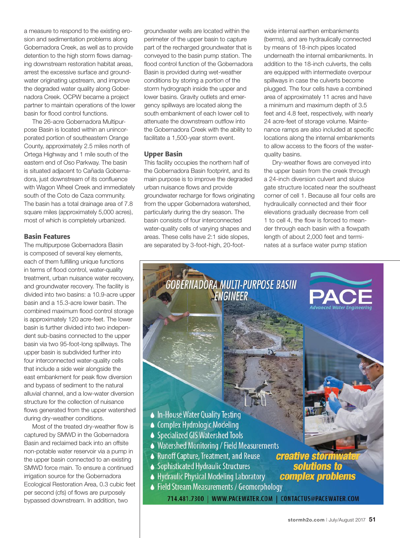a measure to respond to the existing erosion and sedimentation problems along Gobernadora Creek, as well as to provide detention to the high storm flows damaging downstream restoration habitat areas, arrest the excessive surface and groundwater originating upstream, and improve the degraded water quality along Gobernadora Creek. OCPW became a project partner to maintain operations of the lower basin for flood control functions.

The 26-acre Gobernadora Multipurpose Basin is located within an unincorporated portion of southeastern Orange County, approximately 2.5 miles north of Ortega Highway and 1 mile south of the eastern end of Oso Parkway. The basin is situated adjacent to Cañada Gobernadora, just downstream of its confluence with Wagon Wheel Creek and immediately south of the Coto de Caza community. The basin has a total drainage area of 7.8 square miles (approximately 5,000 acres), most of which is completely urbanized.

#### **Basin Features**

The multipurpose Gobernadora Basin is composed of several key elements, each of them fulfilling unique functions in terms of flood control, water-quality treatment, urban nuisance water recovery, and groundwater recovery. The facility is divided into two basins: a 10.9-acre upper basin and a 15.3-acre lower basin. The combined maximum flood control storage is approximately 120 acre-feet. The lower basin is further divided into two independent sub-basins connected to the upper basin via two 95-foot-long spillways. The upper basin is subdivided further into four interconnected water-quality cells that include a side weir alongside the east embankment for peak flow diversion and bypass of sediment to the natural alluvial channel, and a low-water diversion structure for the collection of nuisance flows generated from the upper watershed during dry-weather conditions.

Most of the treated dry-weather flow is captured by SMWD in the Gobernadora Basin and reclaimed back into an offsite non-potable water reservoir via a pump in the upper basin connected to an existing SMWD force main. To ensure a continued irrigation source for the Gobernadora Ecological Restoration Area, 0.3 cubic feet per second (cfs) of flows are purposely bypassed downstream. In addition, two

groundwater wells are located within the perimeter of the upper basin to capture part of the recharged groundwater that is conveyed to the basin pump station. The flood control function of the Gobernadora Basin is provided during wet-weather conditions by storing a portion of the storm hydrograph inside the upper and lower basins. Gravity outlets and emergency spillways are located along the south embankment of each lower cell to attenuate the downstream outflow into the Gobernadora Creek with the ability to facilitate a 1,500-year storm event.

#### **Upper Basin**

This facility occupies the northern half of the Gobernadora Basin footprint, and its main purpose is to improve the degraded urban nuisance flows and provide groundwater recharge for flows originating from the upper Gobernadora watershed, particularly during the dry season. The basin consists of four interconnected water-quality cells of varying shapes and areas. These cells have 2:1 side slopes, are separated by 3-foot-high, 20-footwide internal earthen embankments (berms), and are hydraulically connected by means of 18-inch pipes located underneath the internal embankments. In addition to the 18-inch culverts, the cells are equipped with intermediate overpour spillways in case the culverts become plugged. The four cells have a combined area of approximately 11 acres and have a minimum and maximum depth of 3.5 feet and 4.8 feet, respectively, with nearly 24 acre-feet of storage volume. Maintenance ramps are also included at specific locations along the internal embankments to allow access to the floors of the waterquality basins.

Dry-weather flows are conveyed into the upper basin from the creek through a 24-inch diversion culvert and sluice gate structure located near the southeast corner of cell 1. Because all four cells are hydraulically connected and their floor elevations gradually decrease from cell 1 to cell 4, the flow is forced to meander through each basin with a flowpath length of about 2,000 feet and terminates at a surface water pump station

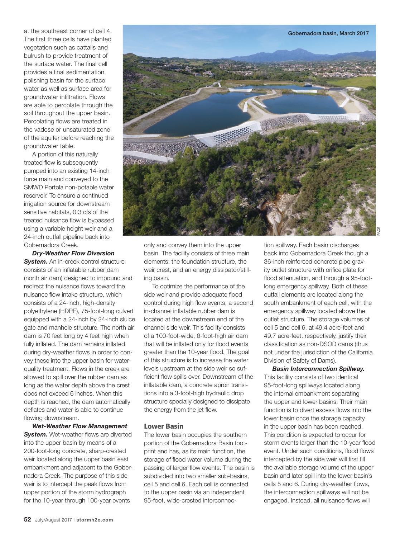at the southeast corner of cell 4. The first three cells have planted vegetation such as cattails and bulrush to provide treatment of the surface water. The final cell provides a final sedimentation polishing basin for the surface water as well as surface area for groundwater infiltration. Flows are able to percolate through the soil throughout the upper basin. Percolating flows are treated in the vadose or unsaturated zone of the aquifer before reaching the groundwater table.

A portion of this naturally treated flow is subsequently pumped into an existing 14-inch force main and conveyed to the SMWD Portola non-potable water reservoir. To ensure a continued irrigation source for downstream sensitive habitats, 0.3 cfs of the treated nuisance flow is bypassed using a variable height weir and a 24-inch outfall pipeline back into Gobernadora Creek.

*Dry-Weather Flow Diversion*  **System.** An in-creek control structure consists of an inflatable rubber dam (north air dam) designed to impound and redirect the nuisance flows toward the nuisance flow intake structure, which consists of a 24-inch, high-density polyethylene (HDPE), 75-foot-long culvert equipped with a 24-inch by 24-inch sluice gate and manhole structure. The north air dam is 70 feet long by 4 feet high when fully inflated. The dam remains inflated during dry-weather flows in order to convey these into the upper basin for waterquality treatment. Flows in the creek are allowed to spill over the rubber dam as long as the water depth above the crest does not exceed 6 inches. When this depth is reached, the dam automatically deflates and water is able to continue flowing downstream.

*Wet-Weather Flow Management*  **System.** Wet-weather flows are diverted into the upper basin by means of a 200-foot-long concrete, sharp-crested weir located along the upper basin east embankment and adjacent to the Gobernadora Creek. The purpose of this side weir is to intercept the peak flows from upper portion of the storm hydrograph for the 10-year through 100-year events



only and convey them into the upper basin. The facility consists of three main elements: the foundation structure, the weir crest, and an energy dissipator/stilling basin.

To optimize the performance of the side weir and provide adequate flood control during high flow events, a second in-channel inflatable rubber dam is located at the downstream end of the channel side weir. This facility consists of a 100-foot-wide, 6-foot-high air dam that will be inflated only for flood events greater than the 10-year flood. The goal of this structure is to increase the water levels upstream at the side weir so sufficient flow spills over. Downstream of the inflatable dam, a concrete apron transitions into a 3-foot-high hydraulic drop structure specially designed to dissipate the energy from the jet flow.

#### **Lower Basin**

The lower basin occupies the southern portion of the Gobernadora Basin footprint and has, as its main function, the storage of flood water volume during the passing of larger flow events. The basin is subdivided into two smaller sub-basins, cell 5 and cell 6. Each cell is connected to the upper basin via an independent 95-foot, wide-crested interconnection spillway. Each basin discharges back into Gobernadora Creek though a 36-inch reinforced concrete pipe gravity outlet structure with orifice plate for flood attenuation, and through a 95-footlong emergency spillway. Both of these outfall elements are located along the south embankment of each cell, with the emergency spillway located above the outlet structure. The storage volumes of cell 5 and cell 6, at 49.4 acre-feet and 49.7 acre-feet, respectively, justify their classification as non-DSOD dams (thus not under the jurisdiction of the California Division of Safety of Dams).

*Basin Interconnection Spillway.* This facility consists of two identical 95-foot-long spillways located along the internal embankment separating the upper and lower basins. Their main function is to divert excess flows into the lower basin once the storage capacity in the upper basin has been reached. This condition is expected to occur for storm events larger than the 10-year flood event. Under such conditions, flood flows intercepted by the side weir will first fill the available storage volume of the upper basin and later spill into the lower basin's cells 5 and 6. During dry-weather flows, the interconnection spillways will not be engaged. Instead, all nuisance flows will